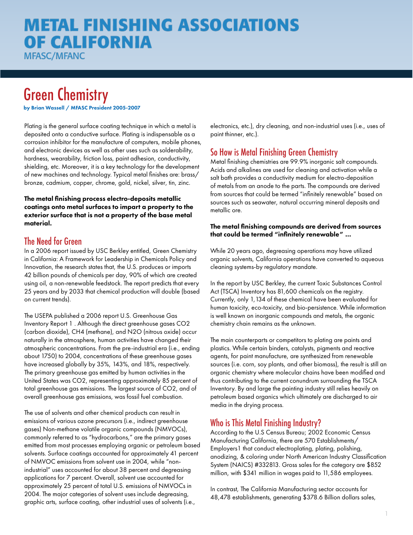# **METAL FINISHING ASSOCIATIONS OF CALIFORNIA**

**MFASC/MFANC** 

# Green Chemistry

by Brian Wassell / MFASC President 2005-2007

Plating is the general surface coating technique in which a metal is deposited onto a conductive surface. Plating is indispensable as a corrosion inhibitor for the manufacture of computers, mobile phones, and electronic devices as well as other uses such as solderability, hardness, wearability, friction loss, paint adhesion, conductivity, shielding, etc. Moreover, it is a key technology for the development of new machines and technology. Typical metal finishes are: brass/ bronze, cadmium, copper, chrome, gold, nickel, silver, tin, zinc.

#### The metal finishing process electro-deposits metallic coatings onto metal surfaces to impart a property to the exterior surface that is not a property of the base metal material.

#### The Need for Green

In a 2006 report issued by USC Berkley entitled, Green Chemistry in California: A Framework for Leadership in Chemicals Policy and Innovation, the research states that, the U.S. produces or imports 42 billion pounds of chemicals per day, 90% of which are created using oil, a non-renewable feedstock. The report predicts that every 25 years and by 2033 that chemical production will double (based on current trends).

The USEPA published a 2006 report U.S. Greenhouse Gas Inventory Report 1 . Although the direct greenhouse gases CO2 (carbon dioxide), CH4 (methane), and N2O (nitrous oxide) occur naturally in the atmosphere, human activities have changed their atmospheric concentrations. From the pre-industrial era (i.e., ending about 1750) to 2004, concentrations of these greenhouse gases have increased globally by 35%, 143%, and 18%, respectively. The primary greenhouse gas emitted by human activities in the United States was CO2, representing approximately 85 percent of total greenhouse gas emissions. The largest source of CO2, and of overall greenhouse gas emissions, was fossil fuel combustion.

The use of solvents and other chemical products can result in emissions of various ozone precursors (i.e., indirect greenhouse gases) Non-methane volatile organic compounds (NMVOCs), commonly referred to as "hydrocarbons," are the primary gases emitted from most processes employing organic or petroleum based solvents. Surface coatings accounted for approximately 41 percent of NMVOC emissions from solvent use in 2004, while "nonindustrial" uses accounted for about 38 percent and degreasing applications for 7 percent. Overall, solvent use accounted for approximately 25 percent of total U.S. emissions of NMVOCs in 2004. The major categories of solvent uses include degreasing, graphic arts, surface coating, other industrial uses of solvents (i.e.,

electronics, etc.), dry cleaning, and non-industrial uses (i.e., uses of paint thinner, etc.).

#### So How is Metal Finishing Green Chemistry

Metal finishing chemistries are 99.9% inorganic salt compounds. Acids and alkalines are used for cleaning and activation while a salt bath provides a conductivity medium for electro-deposition of metals from an anode to the parts. The compounds are derived from sources that could be termed "infinitely renewable" based on sources such as seawater, natural occurring mineral deposits and metallic ore.

#### The metal finishing compounds are derived from sources that could be termed "infinitely renewable" …

While 20 years ago, degreasing operations may have utilized organic solvents, California operations have converted to aqueous cleaning systems-by regulatory mandate.

In the report by USC Berkley, the current Toxic Substances Control Act (TSCA) Inventory has 81,600 chemicals on the registry. Currently, only 1,134 of these chemical have been evaluated for human toxicity, eco-toxicity, and bio-persistence. While information is well known on inorganic compounds and metals, the organic chemistry chain remains as the unknown.

The main counterparts or competitors to plating are paints and plastics. While certain binders, catalysts, pigments and reactive agents, for paint manufacture, are synthesized from renewable sources (i.e. corn, soy plants, and other biomass), the result is still an organic chemistry where molecular chains have been modified and thus contributing to the current conundrum surrounding the TSCA Inventory. By and large the painting industry still relies heavily on petroleum based organics which ultimately are discharged to air media in the drying process.

#### Who is This Metal Finishing Industry?

According to the U.S Census Bureau; 2002 Economic Census Manufacturing California, there are 570 Establishments/ Employers1 that conduct electroplating, plating, polishing, anodizing, & coloring under North American Industry Classification System (NAICS) #332813. Gross sales for the category are \$852 million, with \$341 million in wages paid to 11,586 employees.

In contrast, The California Manufacturing sector accounts for 48,478 establishments, generating \$378.6 Billion dollars sales,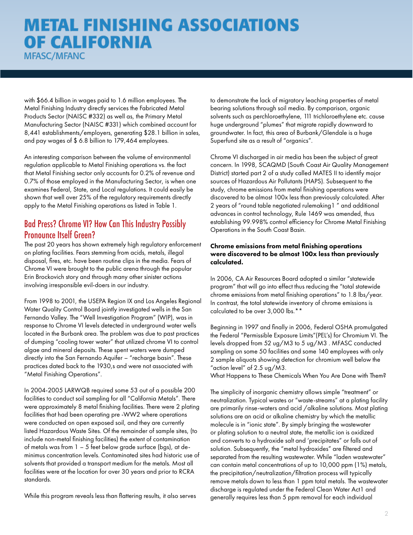## **METAL FINISHING ASSOCIATIONS OF CALIFORNIA MFASC/MFANC**

with \$66.4 billion in wages paid to 1.6 million employees. The Metal Finishing Industry directly services the Fabricated Metal Products Sector (NAISC #332) as well as, the Primary Metal Manufacturing Sector (NAISC #331) which combined account for 8,441 establishments/employers, generating \$28.1 billion in sales, and pay wages of \$ 6.8 billion to 179,464 employees.

An interesting comparison between the volume of environmental regulation applicable to Metal Finishing operations vs. the fact that Metal Finishing sector only accounts for 0.2% of revenue and 0.7% of those employed in the Manufacturing Sector, is when one examines Federal, State, and Local regulations. It could easily be shown that well over 25% of the regulatory requirements directly apply to the Metal Finishing operations as listed in Table 1.

#### Bad Press? Chrome VI? How Can This Industry Possibly Pronounce Itself Green?

The past 20 years has shown extremely high regulatory enforcement on plating facilities. Fears stemming from acids, metals, illegal disposal, fires, etc. have been routine clips in the media. Fears of Chrome VI were brought to the public arena through the popular Erin Brockovich story and through many other sinister actions involving irresponsible evil-doers in our industry.

From 1998 to 2001, the USEPA Region IX and Los Angeles Regional Water Quality Control Board jointly investigated wells in the San Fernando Valley. The "Well Investigation Program" (WIP), was in response to Chrome VI levels detected in underground water wells located in the Burbank area. The problem was due to past practices of dumping "cooling tower water" that utilized chrome VI to control algae and mineral deposits. These spent waters were dumped directly into the San Fernando Aquifer – "recharge basin". These practices dated back to the 1930,s and were not associated with "Metal Finishing Operations".

In 2004-2005 LARWQB required some 53 out of a possible 200 facilities to conduct soil sampling for all "California Metals". There were approximately 8 metal finishing facilities. There were 2 plating facilities that had been operating pre -WW2 where operations were conducted on open exposed soil, and they are currently listed Hazardous Waste Sites. Of the remainder of sample sites, (to include non-metal finishing facilities) the extent of contamination of metals was from 1 – 5 feet below grade surface (bgs), at deminimus concentration levels. Contaminated sites had historic use of solvents that provided a transport medium for the metals. Most all facilities were at the location for over 30 years and prior to RCRA standards.

While this program reveals less than flattering results, it also serves

to demonstrate the lack of migratory leaching properties of metal bearing solutions through soil media. By comparison, organic solvents such as perchloroethylene, 111 trichloroethylene etc. cause huge underground "plumes" that migrate rapidly downward to groundwater. In fact, this area of Burbank/Glendale is a huge Superfund site as a result of "organics".

Chrome VI discharged in air media has been the subject of great concern. In 1998, SCAQMD (South Coast Air Quality Management District) started part 2 of a study called MATES II to identify major sources of Hazardous Air Pollutants (HAPS). Subsequent to the study, chrome emissions from metal finishing operations were discovered to be almost 100x less than previously calculated. After 2 years of "round table negotiated rulemaking1 " and additional advances in control technology, Rule 1469 was amended, thus establishing 99.998% control efficiency for Chrome Metal Finishing Operations in the South Coast Basin.

#### Chrome emissions from metal finishing operations were discovered to be almost 100x less than previously calculated.

In 2006, CA Air Resources Board adopted a similar "statewide program" that will go into effect thus reducing the "total statewide chrome emissions from metal finishing operations" to 1.8 lbs/year. In contrast, the total statewide inventory of chrome emissions is calculated to be over 3,000 lbs.\*\*

Beginning in 1997 and finally in 2006, Federal OSHA promulgated the Federal "Permissible Exposure Limits"(PEL's) for Chromium VI. The levels dropped from 52 ug/M3 to 5 ug/M3 . MFASC conducted sampling on some 50 facilities and some 140 employees with only 2 sample aliquots showing detection for chromium well below the "action level" of 2.5 ug/M3.

What Happens to These Chemicals When You Are Done with Them?

The simplicity of inorganic chemistry allows simple "treatment" or neutralization. Typical wastes or "waste-streams" at a plating facility are primarily rinse-waters and acid /alkaline solutions. Most plating solutions are an acid or alkaline chemistry by which the metallic molecule is in "ionic state". By simply bringing the wastewater or plating solution to a neutral state, the metallic ion is oxidized and converts to a hydroxide salt and 'precipitates" or falls out of solution. Subsequently, the "metal hydroxides" are filtered and separated from the resulting wastewater. While "laden wastewater" can contain metal concentrations of up to 10,000 ppm (1%) metals, the precipitation/neutralization/filtration process will typically remove metals down to less than 1 ppm total metals. The wastewater discharge is regulated under the Federal Clean Water Act1 and generally requires less than 5 ppm removal for each individual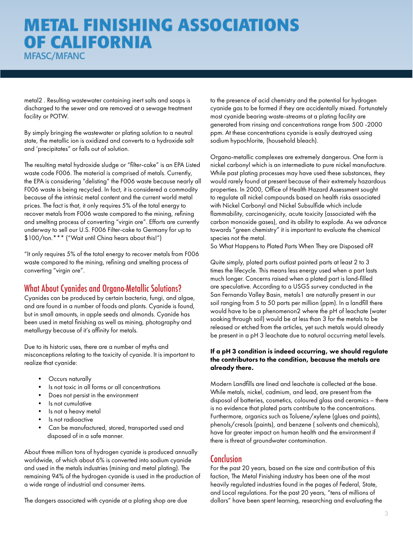## **METAL FINISHING ASSOCIATIONS OF CALIFORNIA MFASC/MFANC**

metal2 . Resulting wastewater containing inert salts and soaps is discharged to the sewer and are removed at a sewage treatment facility or POTW.

By simply bringing the wastewater or plating solution to a neutral state, the metallic ion is oxidized and converts to a hydroxide salt and 'precipitates" or falls out of solution.

The resulting metal hydroxide sludge or "filter-cake" is an EPA Listed waste code F006. The material is comprised of metals. Currently, the EPA is considering "delisting" the F006 waste because nearly all F006 waste is being recycled. In fact, it is considered a commodity because of the intrinsic metal content and the current world metal prices. The fact is that, it only requires 5% of the total energy to recover metals from F006 waste compared to the mining, refining and smelting process of converting "virgin ore". Efforts are currently underway to sell our U.S. F006 Filter-cake to Germany for up to \$100/ton.\*\*\* ("Wait until China hears about this!")

"It only requires 5% of the total energy to recover metals from F006 waste compared to the mining, refining and smelting process of converting "virgin ore".

#### What About Cyanides and Organo-Metallic Solutions?

Cyanides can be produced by certain bacteria, fungi, and algae, and are found in a number of foods and plants. Cyanide is found, but in small amounts, in apple seeds and almonds. Cyanide has been used in metal finishing as well as mining, photography and metallurgy because of it's affinity for metals.

Due to its historic uses, there are a number of myths and misconceptions relating to the toxicity of cyanide. It is important to realize that cyanide:

- Occurs naturally
- Is not toxic in all forms or all concentrations
- Does not persist in the environment
- Is not cumulative
- Is not a heavy metal
- Is not radioactive
- Can be manufactured, stored, transported used and disposed of in a safe manner.

About three million tons of hydrogen cyanide is produced annually worldwide, of which about 6% is converted into sodium cyanide and used in the metals industries (mining and metal plating). The remaining 94% of the hydrogen cyanide is used in the production of a wide range of industrial and consumer items.

The dangers associated with cyanide at a plating shop are due

to the presence of acid chemistry and the potential for hydrogen cyanide gas to be formed if they are accidentally mixed. Fortunately most cyanide bearing waste-streams at a plating facility are generated from rinsing and concentrations range from 500 -2000 ppm. At these concentrations cyanide is easily destroyed using sodium hypochlorite, (household bleach).

Organo-metallic complexes are extremely dangerous. One form is nickel carbonyl which is an intermediate to pure nickel manufacture. While past plating processes may have used these substances, they would rarely found at present because of their extremely hazardous properties. In 2000, Office of Health Hazard Assessment sought to regulate all nickel compounds based on health risks associated with Nickel Carbonyl and Nickel Subsulfide which include flammability, carcinogenicity, acute toxicity (associated with the carbon monoxide gases), and its ability to explode. As we advance towards "green chemistry" it is important to evaluate the chemical species not the metal.

So What Happens to Plated Parts When They are Disposed of?

Quite simply, plated parts outlast painted parts at least 2 to 3 times the lifecycle. This means less energy used when a part lasts much longer. Concerns raised when a plated part is land-filled are speculative. According to a USGS survey conducted in the San Fernando Valley Basin, metals1 are naturally present in our soil ranging from 5 to 50 parts per million (ppm). In a landfill there would have to be a phenomenon2 where the pH of leachate (water soaking through soil) would be at less than 3 for the metals to be released or etched from the articles, yet such metals would already be present in a pH 3 leachate due to natural occurring metal levels.

#### If a pH 3 condition is indeed occurring, we should regulate the contributors to the condition, because the metals are already there.

Modern Landfills are lined and leachate is collected at the base. While metals, nickel, cadmium, and lead, are present from the disposal of batteries, cosmetics, coloured glass and ceramics – there is no evidence that plated parts contribute to the concentrations. Furthermore, organics such as Toluene/xylene (glues and paints), phenols/cresols (paints), and benzene ( solvents and chemicals), have far greater impact on human health and the environment if there is threat of groundwater contamination.

#### Conclusion

For the past 20 years, based on the size and contribution of this faction, The Metal Finishing industry has been one of the most heavily regulated industries found in the pages of Federal, State, and Local regulations. For the past 20 years, "tens of millions of dollars" have been spent learning, researching and evaluating the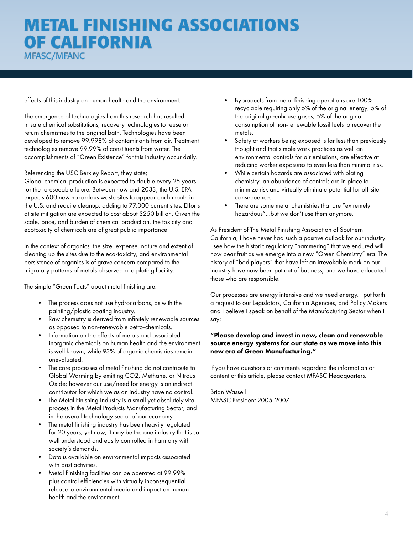## **METAL FINISHING ASSOCIATIONS OF CALIFORNIA MFASC/MFANC**

effects of this industry on human health and the environment.

The emergence of technologies from this research has resulted in safe chemical substitutions, recovery technologies to reuse or return chemistries to the original bath. Technologies have been developed to remove 99.998% of contaminants from air. Treatment technologies remove 99.99% of constituents from water. The accomplishments of "Green Existence" for this industry occur daily.

#### Referencing the USC Berkley Report, they state;

Global chemical production is expected to double every 25 years for the foreseeable future. Between now and 2033, the U.S. EPA expects 600 new hazardous waste sites to appear each month in the U.S. and require cleanup, adding to 77,000 current sites. Efforts at site mitigation are expected to cost about \$250 billion. Given the scale, pace, and burden of chemical production, the toxicity and ecotoxicity of chemicals are of great public importance.

In the context of organics, the size, expense, nature and extent of cleaning up the sites due to the eco-toxicity, and environmental persistence of organics is of grave concern compared to the migratory patterns of metals observed at a plating facility.

The simple "Green Facts" about metal finishing are:

- The process does not use hydrocarbons, as with the painting/plastic coating industry.
- Raw chemistry is derived from infinitely renewable sources as opposed to non-renewable petro-chemicals.
- Information on the effects of metals and associated inorganic chemicals on human health and the environment is well known, while 93% of organic chemistries remain unevaluated.
- The core processes of metal finishing do not contribute to Global Warming by emitting CO2, Methane, or Nitrous Oxide; however our use/need for energy is an indirect contributor for which we as an industry have no control.
- The Metal Finishing Industry is a small yet absolutely vital process in the Metal Products Manufacturing Sector, and in the overall technology sector of our economy.
- The metal finishing industry has been heavily regulated for 20 years, yet now, it may be the one industry that is so well understood and easily controlled in harmony with society's demands.
- Data is available on environmental impacts associated with past activities.
- Metal Finishing facilities can be operated at 99.99% plus control efficiencies with virtually inconsequential release to environmental media and impact on human health and the environment.
- Byproducts from metal finishing operations are 100% recyclable requiring only 5% of the original energy, 5% of the original greenhouse gases, 5% of the original consumption of non-renewable fossil fuels to recover the metals.
- Safety of workers being exposed is far less than previously thought and that simple work practices as well an environmental controls for air emissions, are effective at reducing worker exposures to even less than minimal risk.
- While certain hazards are associated with plating chemistry, an abundance of controls are in place to minimize risk and virtually eliminate potential for off-site consequence.
- There are some metal chemistries that are "extremely hazardous"…but we don't use them anymore.

As President of The Metal Finishing Association of Southern California, I have never had such a positive outlook for our industry. I see how the historic regulatory "hammering" that we endured will now bear fruit as we emerge into a new "Green Chemistry" era. The history of "bad players" that have left an irrevokable mark on our industry have now been put out of business, and we have educated those who are responsible.

Our processes are energy intensive and we need energy. I put forth a request to our Legislators, California Agencies, and Policy Makers and I believe I speak on behalf of the Manufacturing Sector when I say;

#### "Please develop and invest in new, clean and renewable source energy systems for our state as we move into this new era of Green Manufacturing."

If you have questions or comments regarding the information or content of this article, please contact MFASC Headquarters.

Brian Wassell MFASC President 2005-2007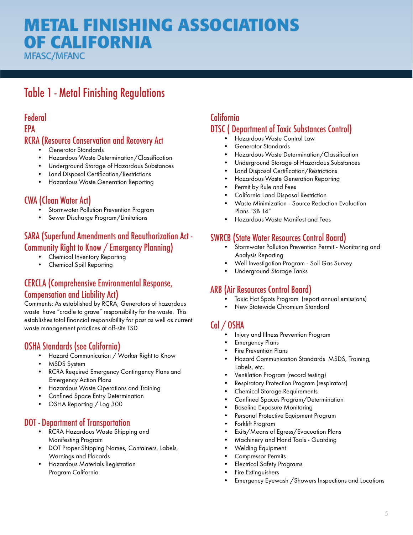# **ETAL FINISHING ASSOCIATIONS OF CALIFORNIA**

**MFASC/MFANC** 

## Table 1 - Metal Finishing Regulations

#### Federal EPA RCRA (Resource Conservation and Recovery Act

- Generator Standards
- Hazardous Waste Determination/Classification
- Underground Storage of Hazardous Substances
- Land Disposal Certification/Restrictions
- Hazardous Waste Generation Reporting

#### CWA (Clean Water Act)

- Stormwater Pollution Prevention Program
- Sewer Discharge Program/Limitations

#### SARA (Superfund Amendments and Reauthorization Act - Community Right to Know / Emergency Planning)

- Chemical Inventory Reporting
- Chemical Spill Reporting

#### CERCLA (Comprehensive Environmental Response, Compensation and Liability Act)

Comments: As established by RCRA, Generators of hazardous waste have "cradle to grave" responsibility for the waste. This establishes total financial responsibility for past as well as current waste management practices at off-site TSD

### OSHA Standards (see California)

- Hazard Communication / Worker Right to Know
- MSDS System
- RCRA Required Emergency Contingency Plans and Emergency Action Plans
- Hazardous Waste Operations and Training
- Confined Space Entry Determination
- OSHA Reporting / Log 300

#### DOT - Department of Transportation

- RCRA Hazardous Waste Shipping and Manifesting Program
- DOT Proper Shipping Names, Containers, Labels, Warnings and Placards
- Hazardous Materials Registration Program California

## California DTSC ( Department of Toxic Substances Control)

- Hazardous Waste Control Law
- Generator Standards
- Hazardous Waste Determination/Classification
- Underground Storage of Hazardous Substances
- Land Disposal Certification/Restrictions
- Hazardous Waste Generation Reporting
- Permit by Rule and Fees
- California Land Disposal Restriction
- Waste Minimization Source Reduction Evaluation Plans "SB 14"
- Hazardous Waste Manifest and Fees

#### SWRCB (State Water Resources Control Board)

- Stormwater Pollution Prevention Permit Monitoring and Analysis Reporting
- Well Investigation Program Soil Gas Survey
- Underground Storage Tanks

#### ARB (Air Resources Control Board)

- Toxic Hot Spots Program (report annual emissions)
- New Statewide Chromium Standard

### Cal / OSHA

- Injury and Illness Prevention Program
- Emergency Plans
- Fire Prevention Plans
- Hazard Communication Standards MSDS, Training, Labels, etc.
- Ventilation Program (record testing)
- Respiratory Protection Program (respirators)
- Chemical Storage Requirements
- Confined Spaces Program/Determination
- Baseline Exposure Monitoring
- Personal Protective Equipment Program
- Forklift Program
- Exits/Means of Egress/Evacuation Plans
- Machinery and Hand Tools Guarding
- Welding Equipment
- Compressor Permits
- Electrical Safety Programs
- Fire Extinguishers
- Emergency Eyewash /Showers Inspections and Locations